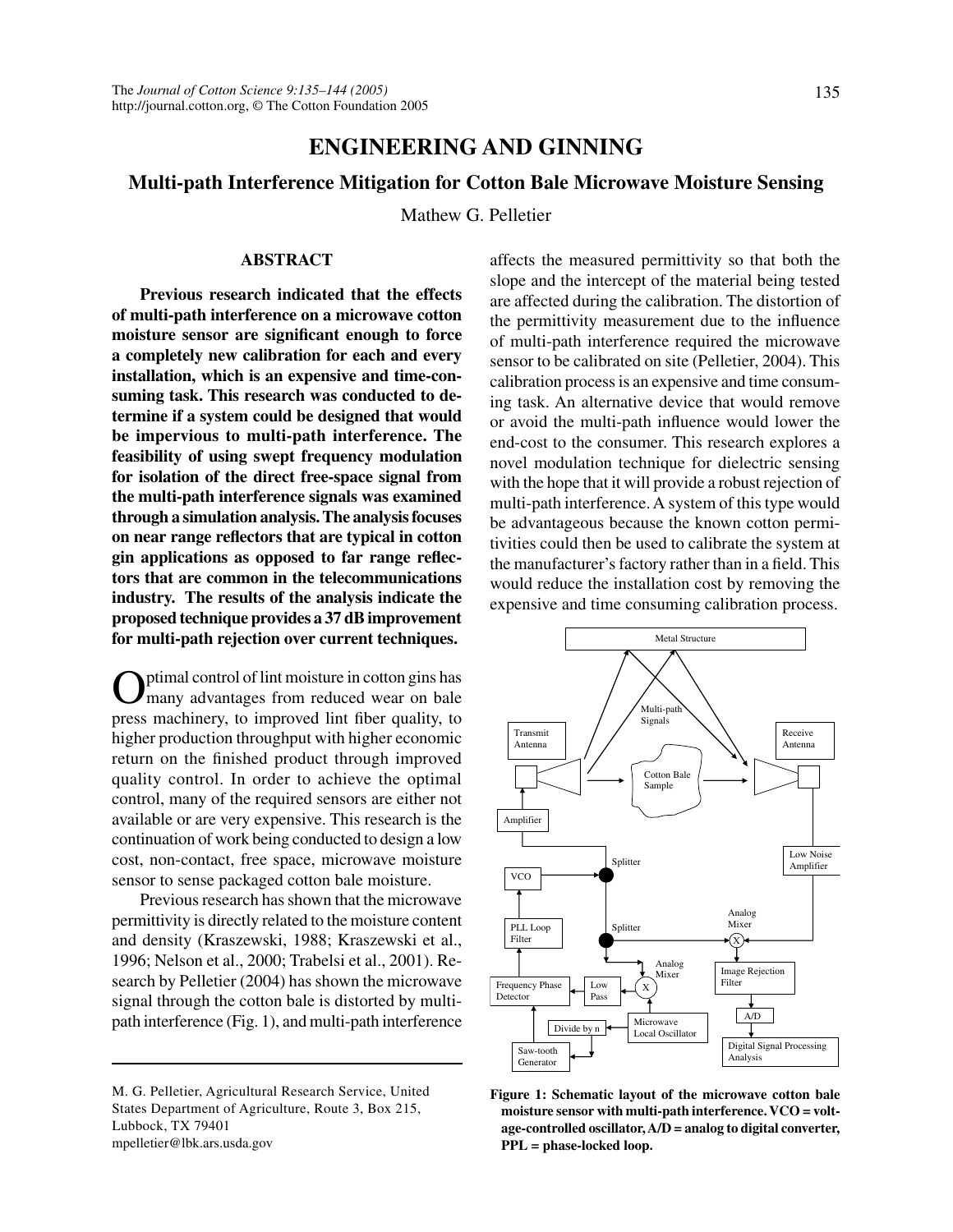# **ENGINEERING AND GINNING**

# **Multi-path Interference Mitigation for Cotton Bale Microwave Moisture Sensing**

Mathew G. Pelletier

## **ABSTRACT**

**Previous research indicated that the effects of multi-path interference on a microwave cotton moisture sensor are significant enough to force a completely new calibration for each and every installation, which is an expensive and time-consuming task. This research was conducted to determine if a system could be designed that would be impervious to multi-path interference. The feasibility of using swept frequency modulation for isolation of the direct free-space signal from the multi-path interference signals was examined through a simulation analysis. The analysis focuses on near range reflectors that are typical in cotton gin applications as opposed to far range reflectors that are common in the telecommunications industry. The results of the analysis indicate the proposed technique provides a 37 dB improvement for multi-path rejection over current techniques.**

ptimal control of lint moisture in cotton gins has many advantages from reduced wear on bale press machinery, to improved lint fiber quality, to higher production throughput with higher economic return on the finished product through improved quality control. In order to achieve the optimal control, many of the required sensors are either not available or are very expensive. This research is the continuation of work being conducted to design a low cost, non-contact, free space, microwave moisture sensor to sense packaged cotton bale moisture.

Previous research has shown that the microwave permittivity is directly related to the moisture content and density (Kraszewski, 1988; Kraszewski et al., 1996; Nelson et al., 2000; Trabelsi et al., 2001). Research by Pelletier (2004) has shown the microwave signal through the cotton bale is distorted by multipath interference (Fig. 1), and multi-path interference

M. G. Pelletier, Agricultural Research Service, United States Department of Agriculture, Route 3, Box 215, Lubbock, TX 79401 mpelletier@lbk.ars.usda.gov

affects the measured permittivity so that both the slope and the intercept of the material being tested are affected during the calibration. The distortion of the permittivity measurement due to the influence of multi-path interference required the microwave sensor to be calibrated on site (Pelletier, 2004). This calibration process is an expensive and time consuming task. An alternative device that would remove or avoid the multi-path influence would lower the end-cost to the consumer. This research explores a novel modulation technique for dielectric sensing with the hope that it will provide a robust rejection of multi-path interference. A system of this type would be advantageous because the known cotton permitivities could then be used to calibrate the system at the manufacturer's factory rather than in a field. This would reduce the installation cost by removing the expensive and time consuming calibration process.



**Figure 1: Schematic layout of the microwave cotton bale moisture sensor with multi-path interference. VCO = voltage-controlled oscillator, A/D = analog to digital converter, PPL = phase-locked loop.**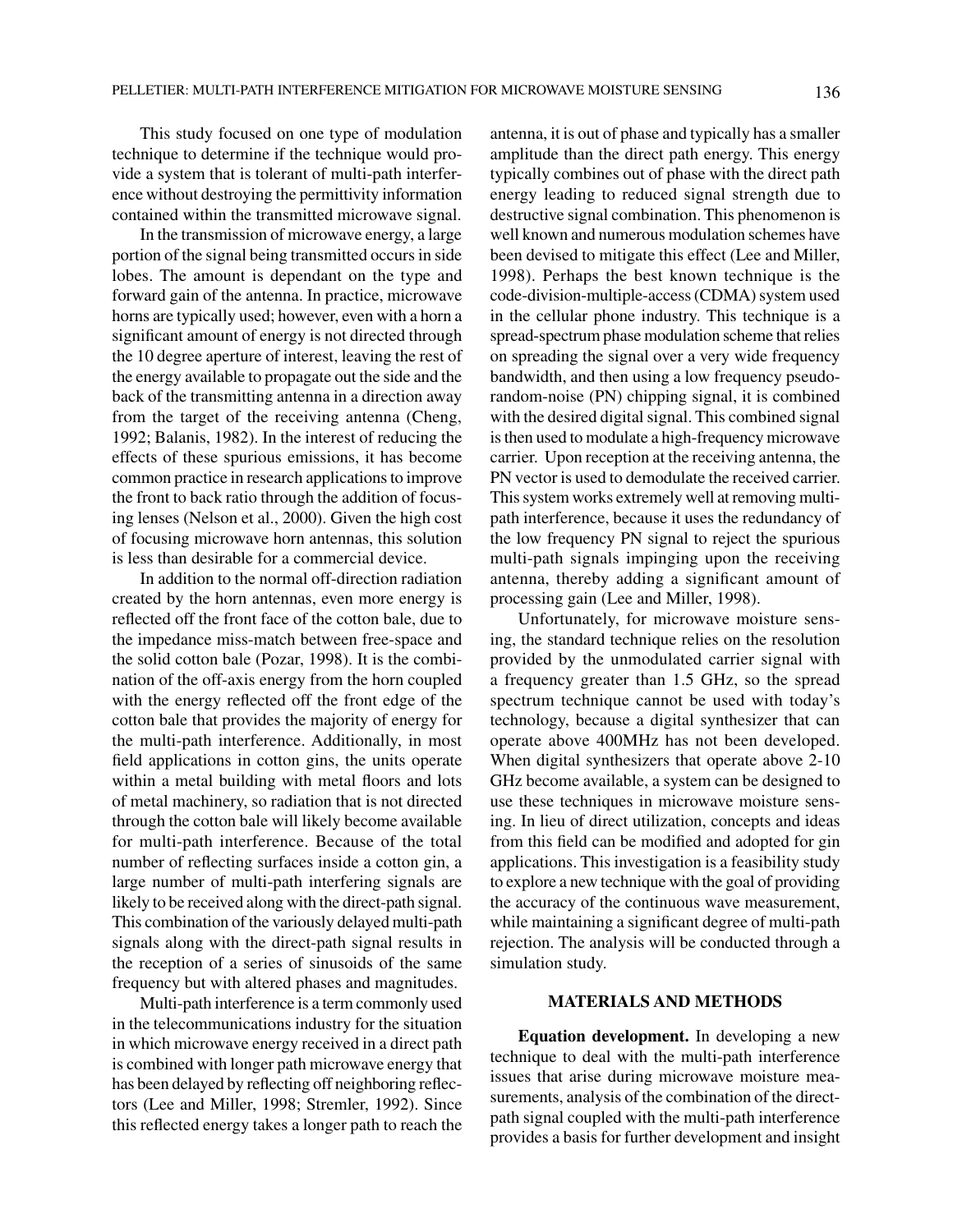This study focused on one type of modulation technique to determine if the technique would provide a system that is tolerant of multi-path interference without destroying the permittivity information contained within the transmitted microwave signal.

In the transmission of microwave energy, a large portion of the signal being transmitted occurs in side lobes. The amount is dependant on the type and forward gain of the antenna. In practice, microwave horns are typically used; however, even with a horn a significant amount of energy is not directed through the 10 degree aperture of interest, leaving the rest of the energy available to propagate out the side and the back of the transmitting antenna in a direction away from the target of the receiving antenna (Cheng, 1992; Balanis, 1982). In the interest of reducing the effects of these spurious emissions, it has become common practice in research applications to improve the front to back ratio through the addition of focusing lenses (Nelson et al., 2000). Given the high cost of focusing microwave horn antennas, this solution is less than desirable for a commercial device.

In addition to the normal off-direction radiation created by the horn antennas, even more energy is reflected off the front face of the cotton bale, due to the impedance miss-match between free-space and the solid cotton bale (Pozar, 1998). It is the combination of the off-axis energy from the horn coupled with the energy reflected off the front edge of the cotton bale that provides the majority of energy for the multi-path interference. Additionally, in most field applications in cotton gins, the units operate within a metal building with metal floors and lots of metal machinery, so radiation that is not directed through the cotton bale will likely become available for multi-path interference. Because of the total number of reflecting surfaces inside a cotton gin, a large number of multi-path interfering signals are likely to be received along with the direct-path signal. This combination of the variously delayed multi-path signals along with the direct-path signal results in the reception of a series of sinusoids of the same frequency but with altered phases and magnitudes.

Multi-path interference is a term commonly used in the telecommunications industry for the situation in which microwave energy received in a direct path is combined with longer path microwave energy that has been delayed by reflecting off neighboring reflectors (Lee and Miller, 1998; Stremler, 1992). Since this reflected energy takes a longer path to reach the antenna, it is out of phase and typically has a smaller amplitude than the direct path energy. This energy typically combines out of phase with the direct path energy leading to reduced signal strength due to destructive signal combination. This phenomenon is well known and numerous modulation schemes have been devised to mitigate this effect (Lee and Miller, 1998). Perhaps the best known technique is the code-division-multiple-access (CDMA) system used in the cellular phone industry. This technique is a spread-spectrum phase modulation scheme that relies on spreading the signal over a very wide frequency bandwidth, and then using a low frequency pseudorandom-noise (PN) chipping signal, it is combined with the desired digital signal. This combined signal is then used to modulate a high-frequency microwave carrier. Upon reception at the receiving antenna, the PN vector is used to demodulate the received carrier. This system works extremely well at removing multipath interference, because it uses the redundancy of the low frequency PN signal to reject the spurious multi-path signals impinging upon the receiving antenna, thereby adding a significant amount of processing gain (Lee and Miller, 1998).

Unfortunately, for microwave moisture sensing, the standard technique relies on the resolution provided by the unmodulated carrier signal with a frequency greater than 1.5 GHz, so the spread spectrum technique cannot be used with today's technology, because a digital synthesizer that can operate above 400MHz has not been developed. When digital synthesizers that operate above 2-10 GHz become available, a system can be designed to use these techniques in microwave moisture sensing. In lieu of direct utilization, concepts and ideas from this field can be modified and adopted for gin applications. This investigation is a feasibility study to explore a new technique with the goal of providing the accuracy of the continuous wave measurement, while maintaining a significant degree of multi-path rejection. The analysis will be conducted through a simulation study.

# **MATERIALS AND METHODS**

**Equation development.** In developing a new technique to deal with the multi-path interference issues that arise during microwave moisture measurements, analysis of the combination of the directpath signal coupled with the multi-path interference provides a basis for further development and insight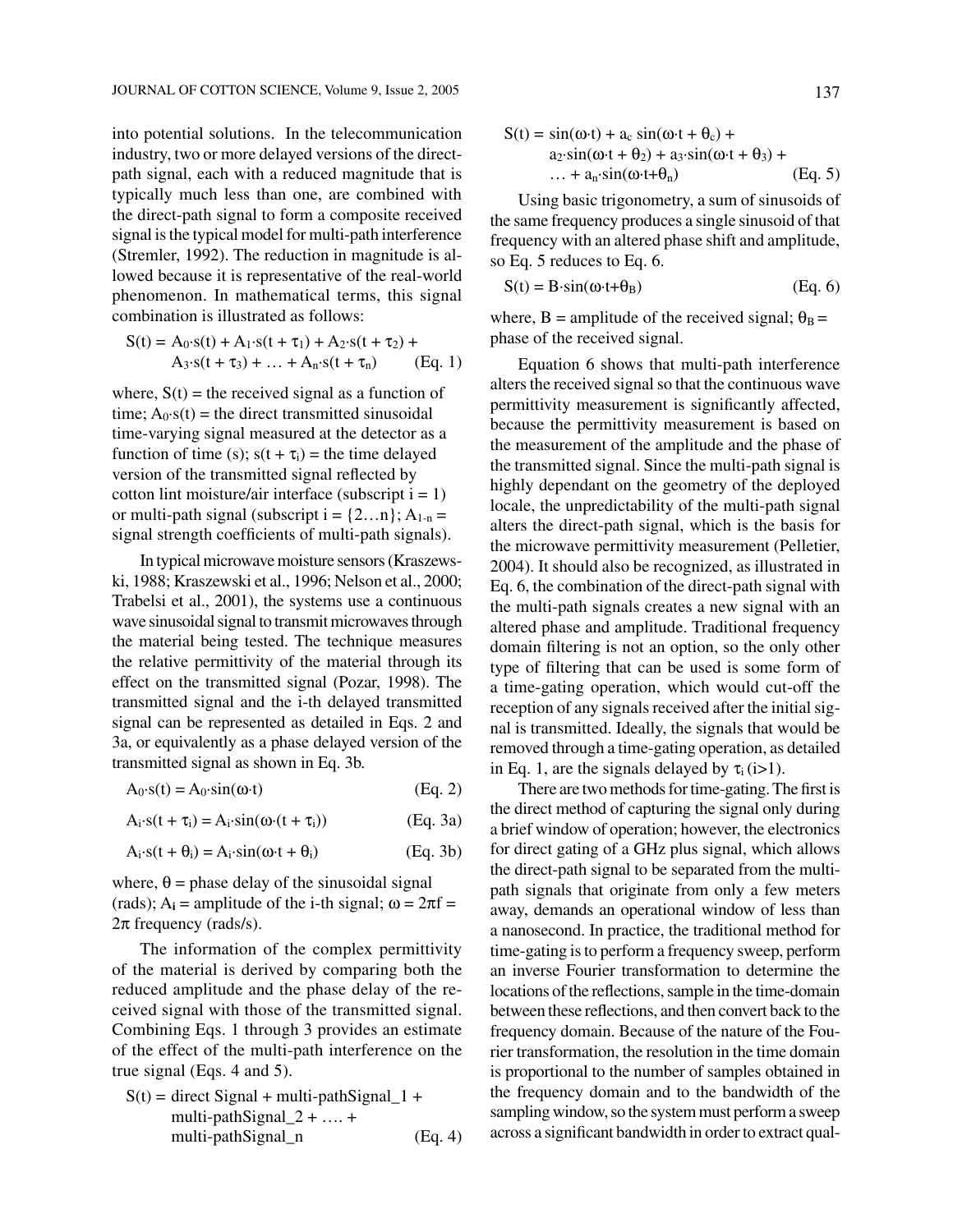into potential solutions. In the telecommunication industry, two or more delayed versions of the directpath signal, each with a reduced magnitude that is typically much less than one, are combined with the direct-path signal to form a composite received signal is the typical model for multi-path interference (Stremler, 1992). The reduction in magnitude is allowed because it is representative of the real-world phenomenon. In mathematical terms, this signal combination is illustrated as follows:

$$
S(t) = A_0 \cdot s(t) + A_1 \cdot s(t + \tau_1) + A_2 \cdot s(t + \tau_2) +A_3 \cdot s(t + \tau_3) + ... + A_n \cdot s(t + \tau_n)
$$
 (Eq. 1)

where,  $S(t)$  = the received signal as a function of time;  $A_0$ ·s(t) = the direct transmitted sinusoidal time-varying signal measured at the detector as a function of time (s);  $s(t + \tau_i) =$  the time delayed version of the transmitted signal reflected by cotton lint moisture/air interface (subscript  $i = 1$ ) or multi-path signal (subscript  $i = \{2...n\}$ ;  $A_{1-n} =$ signal strength coefficients of multi-path signals).

In typical microwave moisture sensors (Kraszewski, 1988; Kraszewski et al., 1996; Nelson et al., 2000; Trabelsi et al., 2001), the systems use a continuous wave sinusoidal signal to transmit microwaves through the material being tested. The technique measures the relative permittivity of the material through its effect on the transmitted signal (Pozar, 1998). The transmitted signal and the i-th delayed transmitted signal can be represented as detailed in Eqs. 2 and 3a, or equivalently as a phase delayed version of the transmitted signal as shown in Eq. 3b.

 $A_0 \text{-} s(t) = A_0 \text{-} \sin(\omega \cdot t)$  (Eq. 2)

 $A_i \cdot s(t + \tau_i) = A_i \cdot \sin(\omega \cdot (t + \tau_i))$  (Eq. 3a)

$$
A_i \cdot s(t + \theta_i) = A_i \cdot \sin(\omega \cdot t + \theta_i)
$$
 (Eq. 3b)

where,  $\theta$  = phase delay of the sinusoidal signal (rads);  $A_i$  = amplitude of the i-th signal;  $\omega = 2\pi f$  = 2π frequency (rads/s).

The information of the complex permittivity of the material is derived by comparing both the reduced amplitude and the phase delay of the received signal with those of the transmitted signal. Combining Eqs. 1 through 3 provides an estimate of the effect of the multi-path interference on the true signal (Eqs. 4 and 5).

$$
S(t) = direct Signal + multi-pathSignal_1 +\nmulti-pathSignal_2 + ... +\nmulti-pathSignal_n
$$
\n(Eq. 4)

$$
S(t) = \sin(\omega \cdot t) + a_c \sin(\omega \cdot t + \theta_c) +a_2 \cdot \sin(\omega \cdot t + \theta_2) + a_3 \cdot \sin(\omega \cdot t + \theta_3) +\dots + a_n \cdot \sin(\omega \cdot t + \theta_n)
$$
 (Eq. 5)

Using basic trigonometry, a sum of sinusoids of the same frequency produces a single sinusoid of that frequency with an altered phase shift and amplitude, so Eq. 5 reduces to Eq. 6.

$$
S(t) = B \cdot \sin(\omega \cdot t + \theta_B) \tag{Eq. 6}
$$

where, B = amplitude of the received signal;  $\theta_B$  = phase of the received signal.

Equation 6 shows that multi-path interference alters the received signal so that the continuous wave permittivity measurement is significantly affected, because the permittivity measurement is based on the measurement of the amplitude and the phase of the transmitted signal. Since the multi-path signal is highly dependant on the geometry of the deployed locale, the unpredictability of the multi-path signal alters the direct-path signal, which is the basis for the microwave permittivity measurement (Pelletier, 2004). It should also be recognized, as illustrated in Eq. 6, the combination of the direct-path signal with the multi-path signals creates a new signal with an altered phase and amplitude. Traditional frequency domain filtering is not an option, so the only other type of filtering that can be used is some form of a time-gating operation, which would cut-off the reception of any signals received after the initial signal is transmitted. Ideally, the signals that would be removed through a time-gating operation, as detailed in Eq. 1, are the signals delayed by  $\tau_i$  (i>1).

There are two methods for time-gating. The first is the direct method of capturing the signal only during a brief window of operation; however, the electronics for direct gating of a GHz plus signal, which allows the direct-path signal to be separated from the multipath signals that originate from only a few meters away, demands an operational window of less than a nanosecond. In practice, the traditional method for time-gating is to perform a frequency sweep, perform an inverse Fourier transformation to determine the locations of the reflections, sample in the time-domain between these reflections, and then convert back to the frequency domain. Because of the nature of the Fourier transformation, the resolution in the time domain is proportional to the number of samples obtained in the frequency domain and to the bandwidth of the sampling window, so the system must perform a sweep across a significant bandwidth in order to extract qual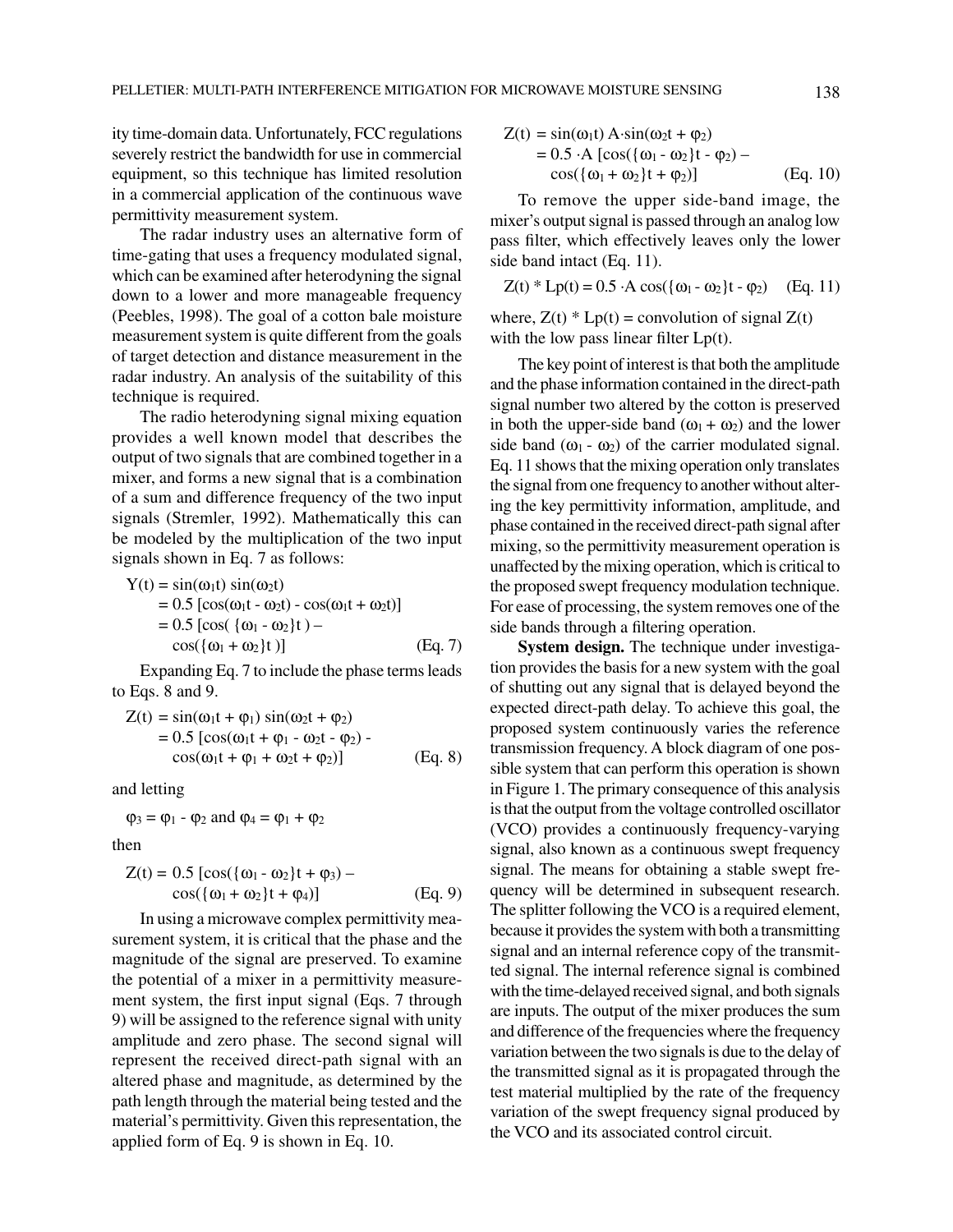ity time-domain data. Unfortunately, FCC regulations severely restrict the bandwidth for use in commercial equipment, so this technique has limited resolution in a commercial application of the continuous wave permittivity measurement system.

The radar industry uses an alternative form of time-gating that uses a frequency modulated signal, which can be examined after heterodyning the signal down to a lower and more manageable frequency (Peebles, 1998). The goal of a cotton bale moisture measurement system is quite different from the goals of target detection and distance measurement in the radar industry. An analysis of the suitability of this technique is required.

The radio heterodyning signal mixing equation provides a well known model that describes the output of two signals that are combined together in a mixer, and forms a new signal that is a combination of a sum and difference frequency of the two input signals (Stremler, 1992). Mathematically this can be modeled by the multiplication of the two input signals shown in Eq. 7 as follows:

Y(t) = sin(
$$
\omega_1 t
$$
) sin( $\omega_2 t$ )  
\n= 0.5 [cos( $\omega_1 t - \omega_2 t$ ) - cos( $\omega_1 t + \omega_2 t$ )]  
\n= 0.5 [cos( ${\omega_1 - \omega_2}$ )t) –  
\ncos( ${\omega_1 + \omega_2}$ )t)] (Eq. 7)

Expanding Eq. 7 to include the phase terms leads to Eqs. 8 and 9.

$$
Z(t) = \sin(\omega_1 t + \varphi_1) \sin(\omega_2 t + \varphi_2)
$$
  
= 0.5 [cos( $\omega_1 t + \varphi_1 - \omega_2 t - \varphi_2$ ) -  
cos( $\omega_1 t + \varphi_1 + \omega_2 t + \varphi_2$ )] (Eq. 8)

and letting

 $\varphi_3 = \varphi_1 - \varphi_2$  and  $\varphi_4 = \varphi_1 + \varphi_2$ 

then

$$
Z(t) = 0.5 [\cos(\{\omega_1 - \omega_2\}t + \varphi_3) - \cos(\{\omega_1 + \omega_2\}t + \varphi_4)]
$$
\n(Eq. 9)

In using a microwave complex permittivity measurement system, it is critical that the phase and the magnitude of the signal are preserved. To examine the potential of a mixer in a permittivity measurement system, the first input signal (Eqs. 7 through 9) will be assigned to the reference signal with unity amplitude and zero phase. The second signal will represent the received direct-path signal with an altered phase and magnitude, as determined by the path length through the material being tested and the material's permittivity. Given this representation, the applied form of Eq. 9 is shown in Eq. 10.

$$
Z(t) = \sin(\omega_1 t) A \cdot \sin(\omega_2 t + \varphi_2)
$$
  
= 0.5 \cdot A [cos({ $\omega_1$  -  $\omega_2$ }t -  $\varphi_2$ ) –  
cos({ $\omega_1$  +  $\omega_2$ }t +  $\varphi_2$ )] (Eq. 10)

To remove the upper side-band image, the mixer's output signal is passed through an analog low pass filter, which effectively leaves only the lower side band intact (Eq. 11).

$$
Z(t) * Lp(t) = 0.5 \cdot A \cos(\{\omega_1 - \omega_2\}t - \varphi_2) \quad (Eq. 11)
$$

where,  $Z(t) * Lp(t) =$  convolution of signal  $Z(t)$ with the low pass linear filter  $Lp(t)$ .

The key point of interest is that both the amplitude and the phase information contained in the direct-path signal number two altered by the cotton is preserved in both the upper-side band  $(\omega_1 + \omega_2)$  and the lower side band  $(\omega_1 - \omega_2)$  of the carrier modulated signal. Eq. 11 shows that the mixing operation only translates the signal from one frequency to another without altering the key permittivity information, amplitude, and phase contained in the received direct-path signal after mixing, so the permittivity measurement operation is unaffected by the mixing operation, which is critical to the proposed swept frequency modulation technique. For ease of processing, the system removes one of the side bands through a filtering operation.

**System design.** The technique under investigation provides the basis for a new system with the goal of shutting out any signal that is delayed beyond the expected direct-path delay. To achieve this goal, the proposed system continuously varies the reference transmission frequency. A block diagram of one possible system that can perform this operation is shown in Figure 1. The primary consequence of this analysis is that the output from the voltage controlled oscillator (VCO) provides a continuously frequency-varying signal, also known as a continuous swept frequency signal. The means for obtaining a stable swept frequency will be determined in subsequent research. The splitter following the VCO is a required element, because it provides the system with both a transmitting signal and an internal reference copy of the transmitted signal. The internal reference signal is combined with the time-delayed received signal, and both signals are inputs. The output of the mixer produces the sum and difference of the frequencies where the frequency variation between the two signals is due to the delay of the transmitted signal as it is propagated through the test material multiplied by the rate of the frequency variation of the swept frequency signal produced by the VCO and its associated control circuit.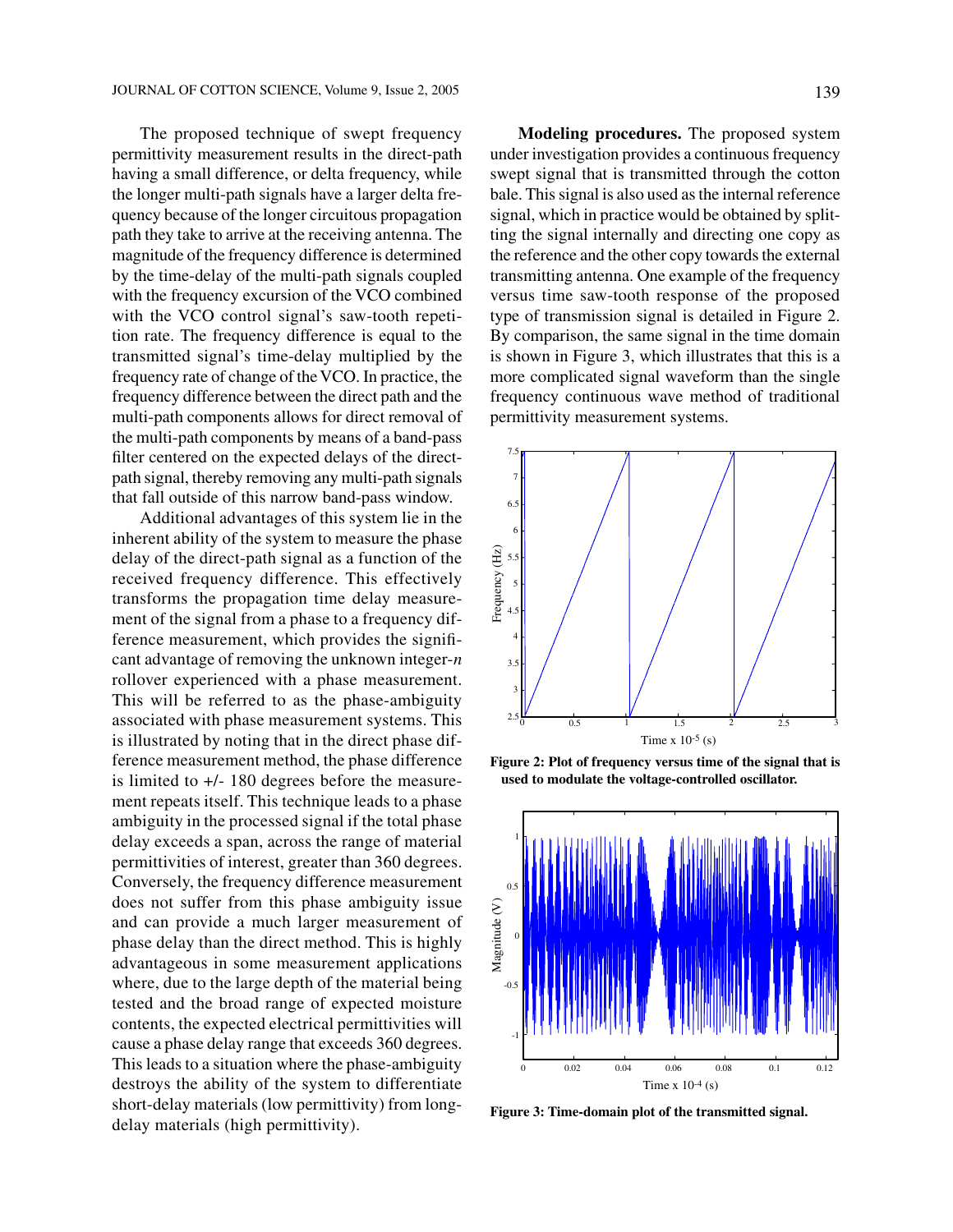The proposed technique of swept frequency permittivity measurement results in the direct-path having a small difference, or delta frequency, while the longer multi-path signals have a larger delta frequency because of the longer circuitous propagation path they take to arrive at the receiving antenna. The magnitude of the frequency difference is determined by the time-delay of the multi-path signals coupled with the frequency excursion of the VCO combined with the VCO control signal's saw-tooth repetition rate. The frequency difference is equal to the transmitted signal's time-delay multiplied by the frequency rate of change of the VCO. In practice, the frequency difference between the direct path and the multi-path components allows for direct removal of the multi-path components by means of a band-pass filter centered on the expected delays of the directpath signal, thereby removing any multi-path signals that fall outside of this narrow band-pass window.

Additional advantages of this system lie in the inherent ability of the system to measure the phase delay of the direct-path signal as a function of the received frequency difference. This effectively transforms the propagation time delay measurement of the signal from a phase to a frequency difference measurement, which provides the significant advantage of removing the unknown integer-*n* rollover experienced with a phase measurement. This will be referred to as the phase-ambiguity associated with phase measurement systems. This is illustrated by noting that in the direct phase difference measurement method, the phase difference is limited to +/- 180 degrees before the measurement repeats itself. This technique leads to a phase ambiguity in the processed signal if the total phase delay exceeds a span, across the range of material permittivities of interest, greater than 360 degrees. Conversely, the frequency difference measurement does not suffer from this phase ambiguity issue and can provide a much larger measurement of phase delay than the direct method. This is highly advantageous in some measurement applications where, due to the large depth of the material being tested and the broad range of expected moisture contents, the expected electrical permittivities will cause a phase delay range that exceeds 360 degrees. This leads to a situation where the phase-ambiguity destroys the ability of the system to differentiate short-delay materials (low permittivity) from longdelay materials (high permittivity).

**Modeling procedures.** The proposed system under investigation provides a continuous frequency swept signal that is transmitted through the cotton bale. This signal is also used as the internal reference signal, which in practice would be obtained by splitting the signal internally and directing one copy as the reference and the other copy towards the external transmitting antenna. One example of the frequency versus time saw-tooth response of the proposed type of transmission signal is detailed in Figure 2. By comparison, the same signal in the time domain is shown in Figure 3, which illustrates that this is a more complicated signal waveform than the single frequency continuous wave method of traditional



permittivity measurement systems.

**Figure 2: Plot of frequency versus time of the signal that is used to modulate the voltage-controlled oscillator.**



**Figure 3: Time-domain plot of the transmitted signal.**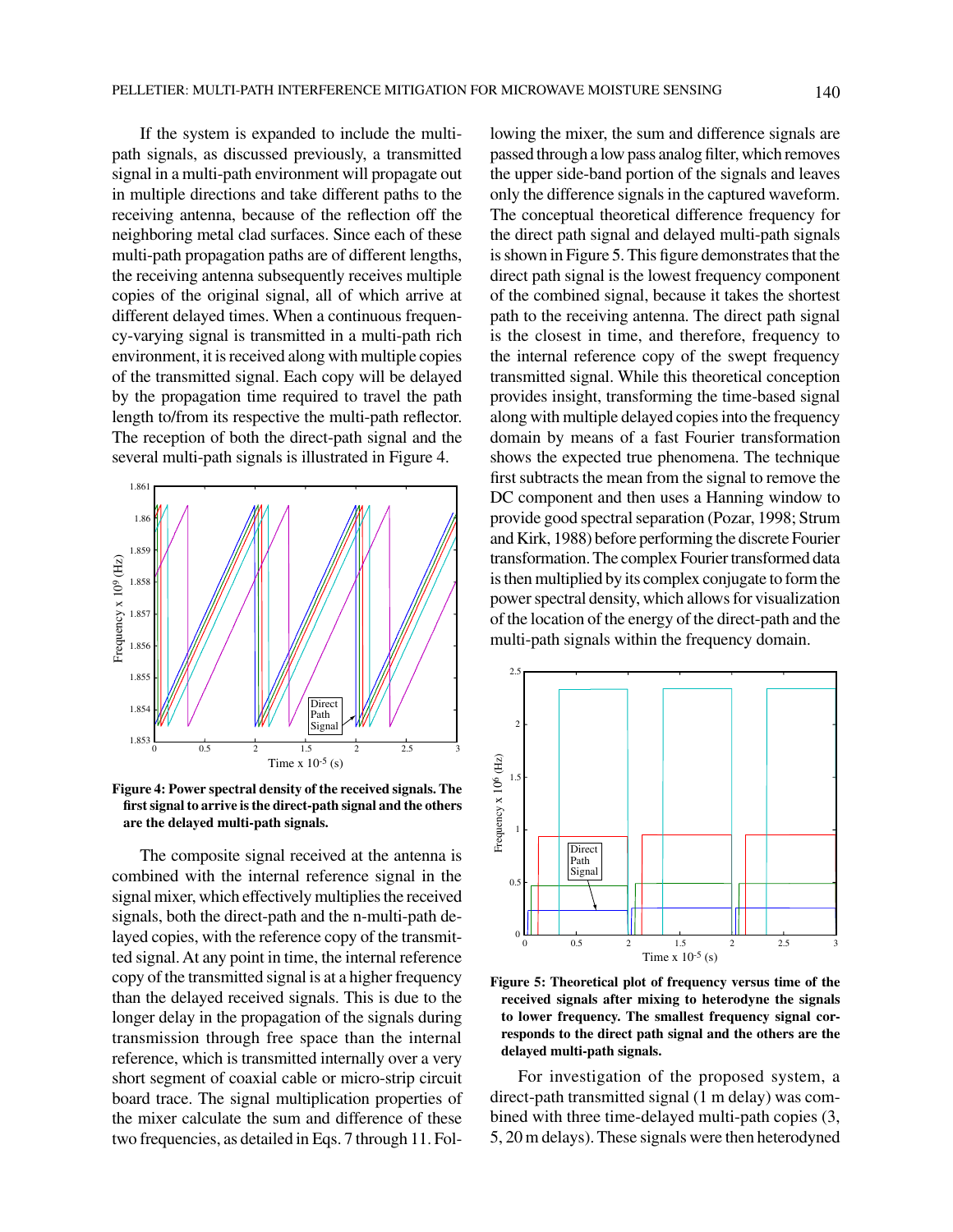If the system is expanded to include the multipath signals, as discussed previously, a transmitted signal in a multi-path environment will propagate out in multiple directions and take different paths to the receiving antenna, because of the reflection off the neighboring metal clad surfaces. Since each of these multi-path propagation paths are of different lengths, the receiving antenna subsequently receives multiple copies of the original signal, all of which arrive at different delayed times. When a continuous frequency-varying signal is transmitted in a multi-path rich environment, it is received along with multiple copies of the transmitted signal. Each copy will be delayed by the propagation time required to travel the path length to/from its respective the multi-path reflector. The reception of both the direct-path signal and the several multi-path signals is illustrated in Figure 4.



**Figure 4: Power spectral density of the received signals. The first signal to arrive is the direct-path signal and the others are the delayed multi-path signals.**

The composite signal received at the antenna is combined with the internal reference signal in the signal mixer, which effectively multiplies the received signals, both the direct-path and the n-multi-path delayed copies, with the reference copy of the transmitted signal. At any point in time, the internal reference copy of the transmitted signal is at a higher frequency than the delayed received signals. This is due to the longer delay in the propagation of the signals during transmission through free space than the internal reference, which is transmitted internally over a very short segment of coaxial cable or micro-strip circuit board trace. The signal multiplication properties of the mixer calculate the sum and difference of these two frequencies, as detailed in Eqs. 7 through 11. Following the mixer, the sum and difference signals are passed through a low pass analog filter, which removes the upper side-band portion of the signals and leaves only the difference signals in the captured waveform. The conceptual theoretical difference frequency for the direct path signal and delayed multi-path signals is shown in Figure 5. This figure demonstrates that the direct path signal is the lowest frequency component of the combined signal, because it takes the shortest path to the receiving antenna. The direct path signal is the closest in time, and therefore, frequency to the internal reference copy of the swept frequency transmitted signal. While this theoretical conception provides insight, transforming the time-based signal along with multiple delayed copies into the frequency domain by means of a fast Fourier transformation shows the expected true phenomena. The technique first subtracts the mean from the signal to remove the DC component and then uses a Hanning window to provide good spectral separation (Pozar, 1998; Strum and Kirk, 1988) before performing the discrete Fourier transformation. The complex Fourier transformed data is then multiplied by its complex conjugate to form the power spectral density, which allows for visualization of the location of the energy of the direct-path and the multi-path signals within the frequency domain.



**Figure 5: Theoretical plot of frequency versus time of the received signals after mixing to heterodyne the signals to lower frequency. The smallest frequency signal corresponds to the direct path signal and the others are the delayed multi-path signals.**

For investigation of the proposed system, a direct-path transmitted signal (1 m delay) was combined with three time-delayed multi-path copies (3, 5, 20 m delays). These signals were then heterodyned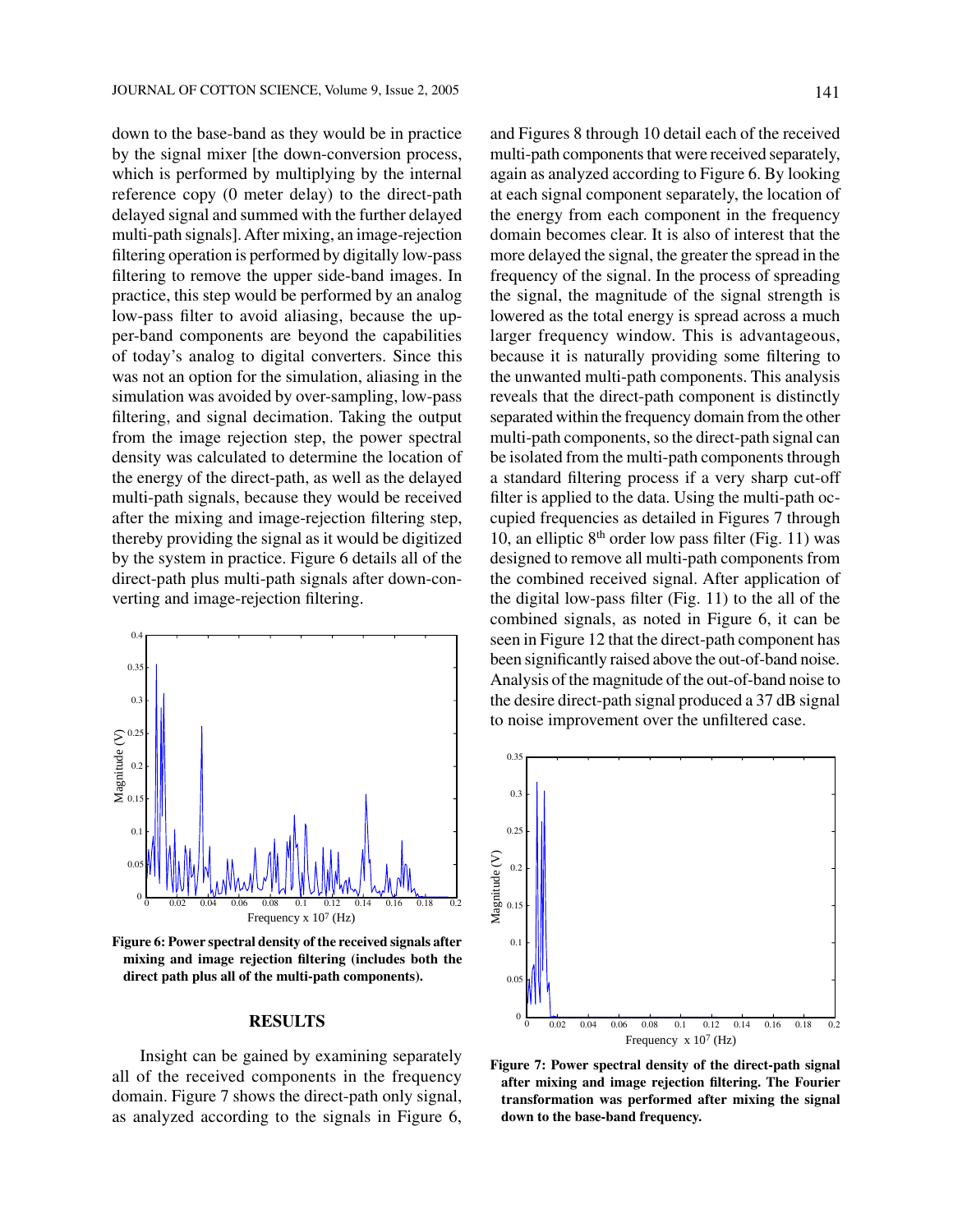down to the base-band as they would be in practice by the signal mixer [the down-conversion process, which is performed by multiplying by the internal reference copy (0 meter delay) to the direct-path delayed signal and summed with the further delayed multi-path signals]. After mixing, an image-rejection filtering operation is performed by digitally low-pass filtering to remove the upper side-band images. In practice, this step would be performed by an analog low-pass filter to avoid aliasing, because the upper-band components are beyond the capabilities of today's analog to digital converters. Since this was not an option for the simulation, aliasing in the simulation was avoided by over-sampling, low-pass filtering, and signal decimation. Taking the output from the image rejection step, the power spectral density was calculated to determine the location of the energy of the direct-path, as well as the delayed multi-path signals, because they would be received after the mixing and image-rejection filtering step, thereby providing the signal as it would be digitized by the system in practice. Figure 6 details all of the direct-path plus multi-path signals after down-converting and image-rejection filtering.



**Figure 6: Power spectral density of the received signals after mixing and image rejection filtering (includes both the direct path plus all of the multi-path components).**

#### **RESULTS**

Insight can be gained by examining separately all of the received components in the frequency domain. Figure 7 shows the direct-path only signal, as analyzed according to the signals in Figure 6, and Figures 8 through 10 detail each of the received multi-path components that were received separately, again as analyzed according to Figure 6. By looking at each signal component separately, the location of the energy from each component in the frequency domain becomes clear. It is also of interest that the more delayed the signal, the greater the spread in the frequency of the signal. In the process of spreading the signal, the magnitude of the signal strength is lowered as the total energy is spread across a much larger frequency window. This is advantageous, because it is naturally providing some filtering to the unwanted multi-path components. This analysis reveals that the direct-path component is distinctly separated within the frequency domain from the other multi-path components, so the direct-path signal can be isolated from the multi-path components through a standard filtering process if a very sharp cut-off filter is applied to the data. Using the multi-path occupied frequencies as detailed in Figures 7 through 10, an elliptic  $8<sup>th</sup>$  order low pass filter (Fig. 11) was designed to remove all multi-path components from the combined received signal. After application of the digital low-pass filter (Fig. 11) to the all of the combined signals, as noted in Figure 6, it can be seen in Figure 12 that the direct-path component has been significantly raised above the out-of-band noise. Analysis of the magnitude of the out-of-band noise to the desire direct-path signal produced a 37 dB signal to noise improvement over the unfiltered case.



**Figure 7: Power spectral density of the direct-path signal after mixing and image rejection filtering. The Fourier transformation was performed after mixing the signal down to the base-band frequency.**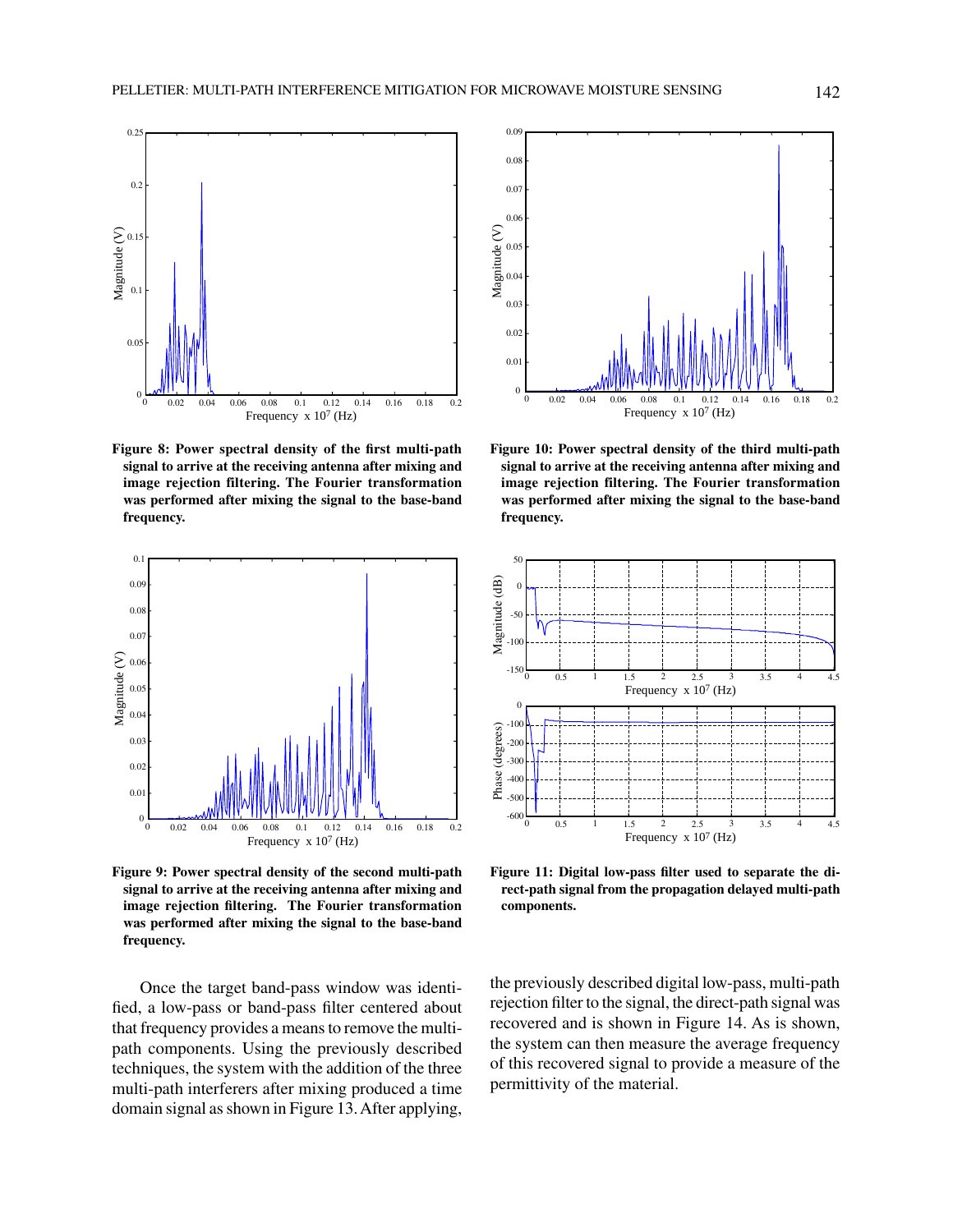

**Figure 8: Power spectral density of the first multi-path signal to arrive at the receiving antenna after mixing and image rejection filtering. The Fourier transformation was performed after mixing the signal to the base-band frequency.**



**Figure 9: Power spectral density of the second multi-path signal to arrive at the receiving antenna after mixing and image rejection filtering. The Fourier transformation was performed after mixing the signal to the base-band frequency.**

Once the target band-pass window was identified, a low-pass or band-pass filter centered about that frequency provides a means to remove the multipath components. Using the previously described techniques, the system with the addition of the three multi-path interferers after mixing produced a time domain signal as shown in Figure 13. After applying,



**Figure 10: Power spectral density of the third multi-path signal to arrive at the receiving antenna after mixing and image rejection filtering. The Fourier transformation was performed after mixing the signal to the base-band frequency.**



**Figure 11: Digital low-pass filter used to separate the direct-path signal from the propagation delayed multi-path components.**

the previously described digital low-pass, multi-path rejection filter to the signal, the direct-path signal was recovered and is shown in Figure 14. As is shown, the system can then measure the average frequency of this recovered signal to provide a measure of the permittivity of the material.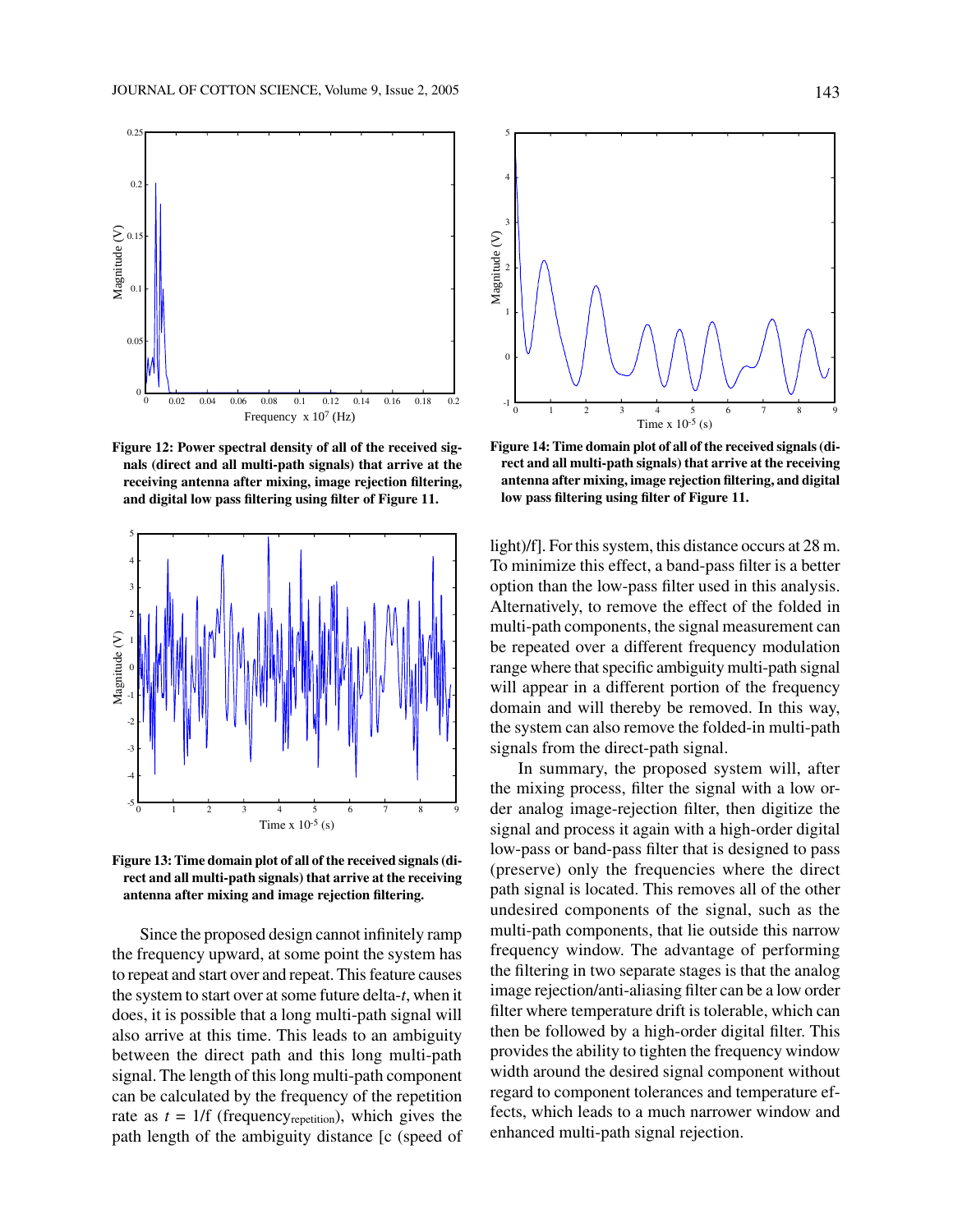

**Figure 12: Power spectral density of all of the received signals (direct and all multi-path signals) that arrive at the receiving antenna after mixing, image rejection filtering, and digital low pass filtering using filter of Figure 11.**



**Figure 13: Time domain plot of all of the received signals (direct and all multi-path signals) that arrive at the receiving antenna after mixing and image rejection filtering.**

Since the proposed design cannot infinitely ramp the frequency upward, at some point the system has to repeat and start over and repeat. This feature causes the system to start over at some future delta-*t*, when it does, it is possible that a long multi-path signal will also arrive at this time. This leads to an ambiguity between the direct path and this long multi-path signal. The length of this long multi-path component can be calculated by the frequency of the repetition rate as  $t = 1/f$  (frequency<sub>repetition</sub>), which gives the path length of the ambiguity distance [c (speed of



**Figure 14: Time domain plot of all of the received signals (direct and all multi-path signals) that arrive at the receiving antenna after mixing, image rejection filtering, and digital low pass filtering using filter of Figure 11.**

light)/f]. For this system, this distance occurs at 28 m. To minimize this effect, a band-pass filter is a better option than the low-pass filter used in this analysis. Alternatively, to remove the effect of the folded in multi-path components, the signal measurement can be repeated over a different frequency modulation range where that specific ambiguity multi-path signal will appear in a different portion of the frequency domain and will thereby be removed. In this way, the system can also remove the folded-in multi-path signals from the direct-path signal.

In summary, the proposed system will, after the mixing process, filter the signal with a low order analog image-rejection filter, then digitize the signal and process it again with a high-order digital low-pass or band-pass filter that is designed to pass (preserve) only the frequencies where the direct path signal is located. This removes all of the other undesired components of the signal, such as the multi-path components, that lie outside this narrow frequency window. The advantage of performing the filtering in two separate stages is that the analog image rejection/anti-aliasing filter can be a low order filter where temperature drift is tolerable, which can then be followed by a high-order digital filter. This provides the ability to tighten the frequency window width around the desired signal component without regard to component tolerances and temperature effects, which leads to a much narrower window and enhanced multi-path signal rejection.